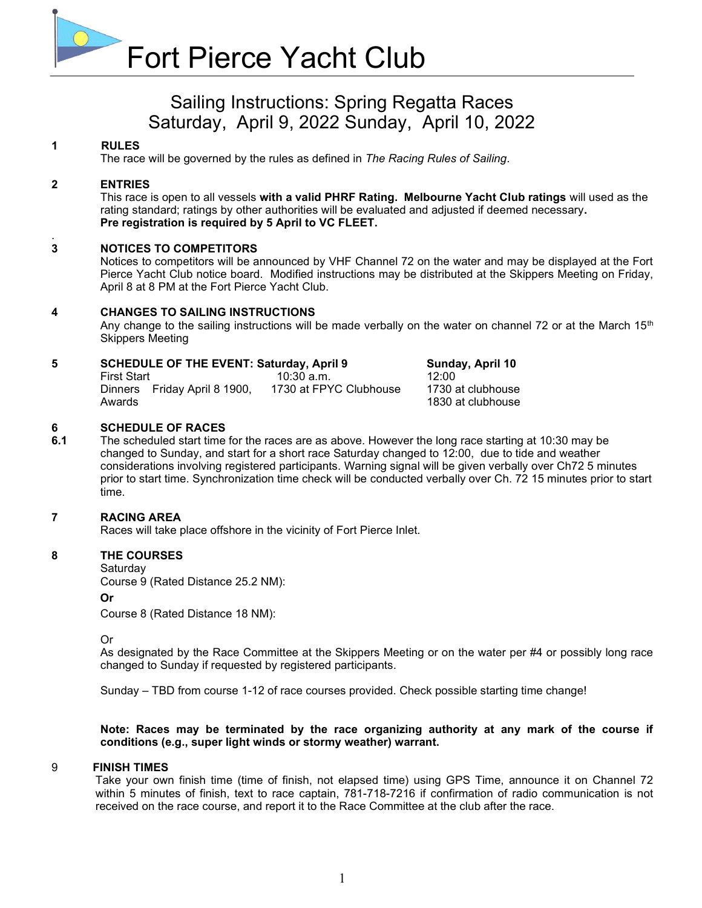

### Sailing Instructions: Spring Regatta Races Saturday, April 9, 2022 Sunday, April 10, 2022

#### 1 RULES

The race will be governed by the rules as defined in The Racing Rules of Sailing.

#### 2 ENTRIES

This race is open to all vessels with a valid PHRF Rating. Melbourne Yacht Club ratings will used as the rating standard; ratings by other authorities will be evaluated and adjusted if deemed necessary. Pre registration is required by 5 April to VC FLEET.

#### . 3 NOTICES TO COMPETITORS

 Notices to competitors will be announced by VHF Channel 72 on the water and may be displayed at the Fort Pierce Yacht Club notice board. Modified instructions may be distributed at the Skippers Meeting on Friday, April 8 at 8 PM at the Fort Pierce Yacht Club.

#### 4 CHANGES TO SAILING INSTRUCTIONS

Any change to the sailing instructions will be made verbally on the water on channel 72 or at the March 15<sup>th</sup> Skippers Meeting

# 5 SCHEDULE OF THE EVENT: Saturday, April 9 Sunday, April 10<br>First Start 10:30 a.m. 12:00

First Start 10:30 a.m.<br>Dinners Friday April 8 1900. 1730 at FPYC Clubhouse Dinners Friday April 8 1900, 1730 at FPYC Clubhouse 1730 at clubhouse Awards 1830 at clubhouse 1830 at clubhouse 1830 at clubhouse

#### 6 SCHEDULE OF RACES

6.1 The scheduled start time for the races are as above. However the long race starting at 10:30 may be changed to Sunday, and start for a short race Saturday changed to 12:00, due to tide and weather considerations involving registered participants. Warning signal will be given verbally over Ch72 5 minutes prior to start time. Synchronization time check will be conducted verbally over Ch. 72 15 minutes prior to start time.

#### 7 RACING AREA

Races will take place offshore in the vicinity of Fort Pierce Inlet.

#### 8 THE COURSES

Saturday

Course 9 (Rated Distance 25.2 NM):

#### Or

Course 8 (Rated Distance 18 NM):

Or

As designated by the Race Committee at the Skippers Meeting or on the water per #4 or possibly long race changed to Sunday if requested by registered participants.

Sunday – TBD from course 1-12 of race courses provided. Check possible starting time change!

Note: Races may be terminated by the race organizing authority at any mark of the course if conditions (e.g., super light winds or stormy weather) warrant.

#### 9 FINISH TIMES

Take your own finish time (time of finish, not elapsed time) using GPS Time, announce it on Channel 72 within 5 minutes of finish, text to race captain, 781-718-7216 if confirmation of radio communication is not received on the race course, and report it to the Race Committee at the club after the race.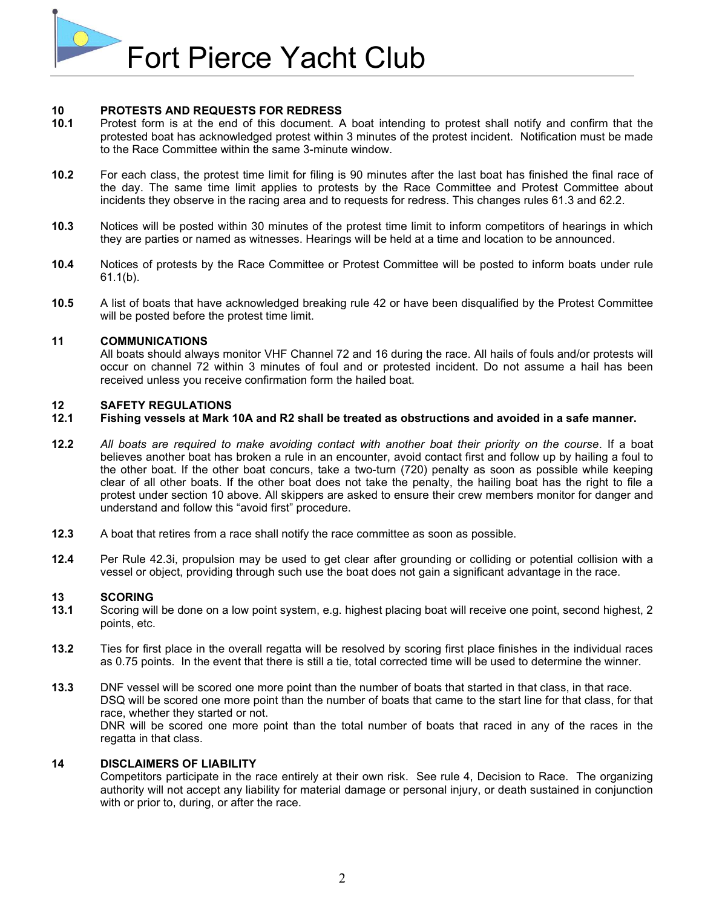Fort Pierce Yacht Club

## 10 PROTESTS AND REQUESTS FOR REDRESS<br>10.1 Protest form is at the end of this document. A

- Protest form is at the end of this document. A boat intending to protest shall notify and confirm that the protested boat has acknowledged protest within 3 minutes of the protest incident. Notification must be made to the Race Committee within the same 3-minute window.
- 10.2 For each class, the protest time limit for filing is 90 minutes after the last boat has finished the final race of the day. The same time limit applies to protests by the Race Committee and Protest Committee about incidents they observe in the racing area and to requests for redress. This changes rules 61.3 and 62.2.
- 10.3 Notices will be posted within 30 minutes of the protest time limit to inform competitors of hearings in which they are parties or named as witnesses. Hearings will be held at a time and location to be announced.
- 10.4 Notices of protests by the Race Committee or Protest Committee will be posted to inform boats under rule 61.1(b).
- 10.5 A list of boats that have acknowledged breaking rule 42 or have been disqualified by the Protest Committee will be posted before the protest time limit.

#### 11 COMMUNICATIONS

All boats should always monitor VHF Channel 72 and 16 during the race. All hails of fouls and/or protests will occur on channel 72 within 3 minutes of foul and or protested incident. Do not assume a hail has been received unless you receive confirmation form the hailed boat.

#### 12 SAFETY REGULATIONS

#### 12.1 Fishing vessels at Mark 10A and R2 shall be treated as obstructions and avoided in a safe manner.

- 12.2 All boats are required to make avoiding contact with another boat their priority on the course. If a boat believes another boat has broken a rule in an encounter, avoid contact first and follow up by hailing a foul to the other boat. If the other boat concurs, take a two-turn (720) penalty as soon as possible while keeping clear of all other boats. If the other boat does not take the penalty, the hailing boat has the right to file a protest under section 10 above. All skippers are asked to ensure their crew members monitor for danger and understand and follow this "avoid first" procedure.
- 12.3 A boat that retires from a race shall notify the race committee as soon as possible.
- 12.4 Per Rule 42.3i, propulsion may be used to get clear after grounding or colliding or potential collision with a vessel or object, providing through such use the boat does not gain a significant advantage in the race.

#### 13 SCORING

- 13.1 Scoring will be done on a low point system, e.g. highest placing boat will receive one point, second highest, 2 points, etc.
- 13.2 Ties for first place in the overall regatta will be resolved by scoring first place finishes in the individual races as 0.75 points. In the event that there is still a tie, total corrected time will be used to determine the winner.
- 13.3 DNF vessel will be scored one more point than the number of boats that started in that class, in that race. DSQ will be scored one more point than the number of boats that came to the start line for that class, for that race, whether they started or not. DNR will be scored one more point than the total number of boats that raced in any of the races in the regatta in that class.

#### 14 DISCLAIMERS OF LIABILITY

Competitors participate in the race entirely at their own risk. See rule 4, Decision to Race. The organizing authority will not accept any liability for material damage or personal injury, or death sustained in conjunction with or prior to, during, or after the race.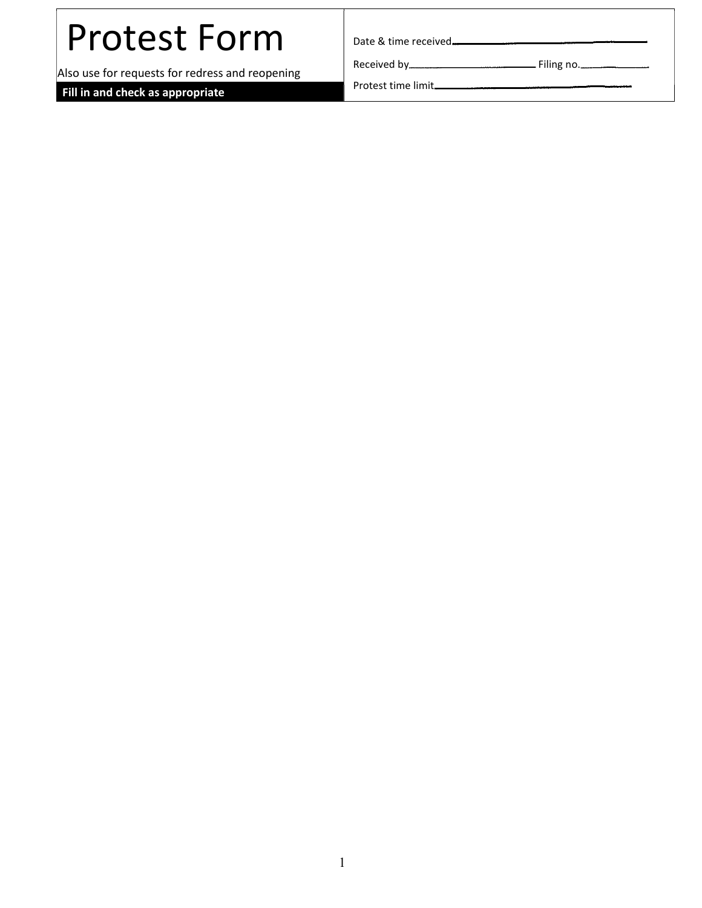# Protest Form

Also use for requests for redress and reopening

Fill in and check as appropriate Protest time limit.

Date & time received.

Received by \_\_\_\_\_\_\_\_\_\_\_\_\_\_\_\_\_\_\_\_\_\_\_\_\_\_\_\_\_\_\_\_\_\_ Filing no.\_\_